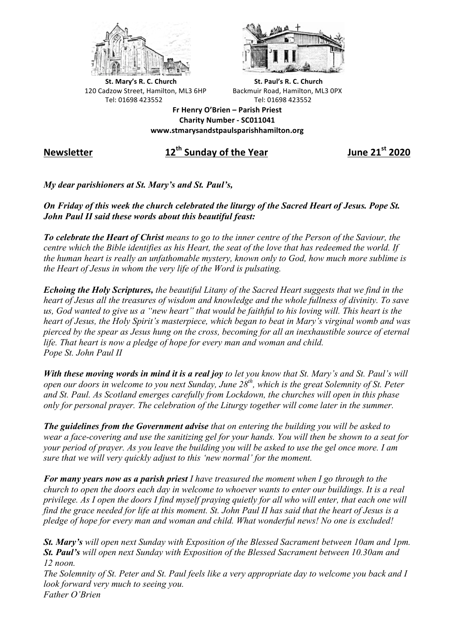



**St.** Mary's R. C. Church St. Paul's R. C. Church 120 Cadzow Street, Hamilton, ML3 6HP Backmuir Road, Hamilton, ML3 0PX Tel: 01698 423552 Tel: 01698 423552

**Fr Henry O'Brien – Parish Priest Charity Number - SC011041 www.stmarysandstpaulsparishhamilton.org**

## **Newsletter 12th Sunday of the Year June 21st 2020**

*My dear parishioners at St. Mary's and St. Paul's,*

## *On Friday of this week the church celebrated the liturgy of the Sacred Heart of Jesus. Pope St. John Paul II said these words about this beautiful feast:*

*To celebrate the Heart of Christ means to go to the inner centre of the Person of the Saviour, the centre which the Bible identifies as his Heart, the seat of the love that has redeemed the world. If the human heart is really an unfathomable mystery, known only to God, how much more sublime is the Heart of Jesus in whom the very life of the Word is pulsating.*

*Echoing the Holy Scriptures, the beautiful Litany of the Sacred Heart suggests that we find in the heart of Jesus all the treasures of wisdom and knowledge and the whole fullness of divinity. To save us, God wanted to give us a "new heart" that would be faithful to his loving will. This heart is the heart of Jesus, the Holy Spirit's masterpiece, which began to beat in Mary's virginal womb and was pierced by the spear as Jesus hung on the cross, becoming for all an inexhaustible source of eternal life. That heart is now a pledge of hope for every man and woman and child. Pope St. John Paul II*

*With these moving words in mind it is a real joy to let you know that St. Mary's and St. Paul's will open our doors in welcome to you next Sunday, June 28th, which is the great Solemnity of St. Peter and St. Paul. As Scotland emerges carefully from Lockdown, the churches will open in this phase only for personal prayer. The celebration of the Liturgy together will come later in the summer.*

*The guidelines from the Government advise that on entering the building you will be asked to wear a face-covering and use the sanitizing gel for your hands. You will then be shown to a seat for your period of prayer. As you leave the building you will be asked to use the gel once more. I am sure that we will very quickly adjust to this 'new normal' for the moment.*

*For many years now as a parish priest I have treasured the moment when I go through to the church to open the doors each day in welcome to whoever wants to enter our buildings. It is a real privilege. As I open the doors I find myself praying quietly for all who will enter, that each one will find the grace needed for life at this moment. St. John Paul II has said that the heart of Jesus is a pledge of hope for every man and woman and child. What wonderful news! No one is excluded!*

*St. Mary's will open next Sunday with Exposition of the Blessed Sacrament between 10am and 1pm. St. Paul's will open next Sunday with Exposition of the Blessed Sacrament between 10.30am and 12 noon.*

*The Solemnity of St. Peter and St. Paul feels like a very appropriate day to welcome you back and I look forward very much to seeing you. Father O'Brien*